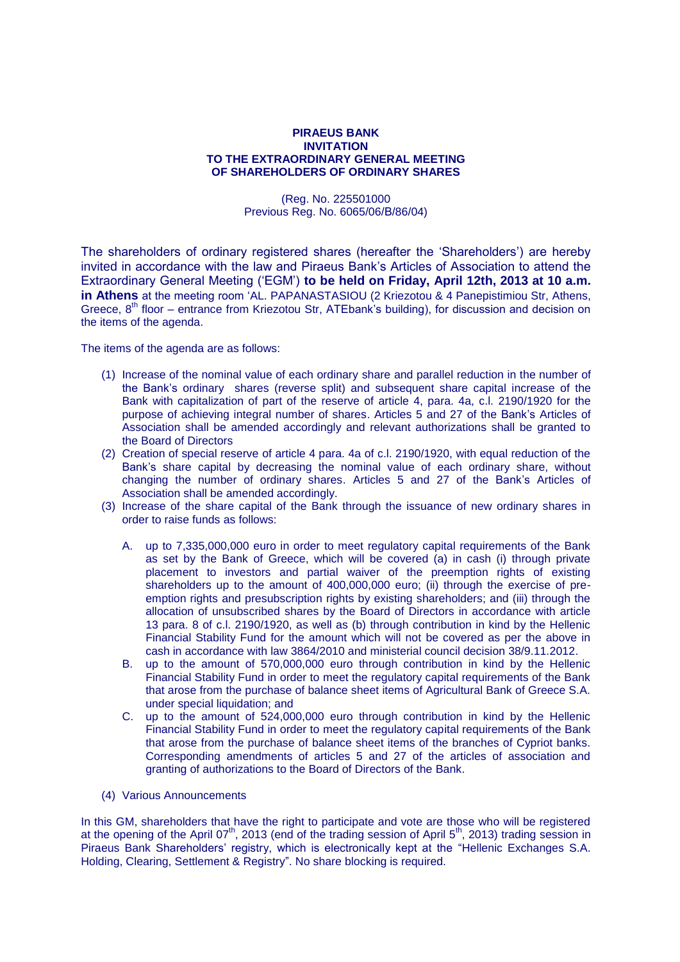## **PIRAEUS BANK INVITATION TO THE EXTRAORDINARY GENERAL MEETING OF SHAREHOLDERS OF ORDINARY SHARES**

(Reg. No. 225501000 Previous Reg. No. 6065/06/Β/86/04)

The shareholders of ordinary registered shares (hereafter the "Shareholders") are hereby invited in accordance with the law and Piraeus Bank"s Articles of Association to attend the Extraordinary General Meeting ("EGM") **to be held on Friday, April 12th, 2013 at 10 a.m. in Athens** at the meeting room 'AL. PAPANASTASIOU (2 Kriezotou & 4 Panepistimiou Str. Athens, Greece,  $8<sup>th</sup>$  floor – entrance from Kriezotou Str, ATEbank's building), for discussion and decision on the items of the agenda.

The items of the agenda are as follows:

- (1) Increase of the nominal value of each ordinary share and parallel reduction in the number of the Bank"s ordinary shares (reverse split) and subsequent share capital increase of the Bank with capitalization of part of the reserve of article 4, para. 4a, c.l. 2190/1920 for the purpose of achieving integral number of shares. Articles 5 and 27 of the Bank"s Articles of Association shall be amended accordingly and relevant authorizations shall be granted to the Board of Directors
- (2) Creation of special reserve of article 4 para. 4a of c.l. 2190/1920, with equal reduction of the Bank"s share capital by decreasing the nominal value of each ordinary share, without changing the number of ordinary shares. Articles 5 and 27 of the Bank"s Articles of Association shall be amended accordingly.
- (3) Increase of the share capital of the Bank through the issuance of new ordinary shares in order to raise funds as follows:
	- A. up to 7,335,000,000 euro in order to meet regulatory capital requirements of the Bank as set by the Bank of Greece, which will be covered (a) in cash (i) through private placement to investors and partial waiver of the preemption rights of existing shareholders up to the amount of 400,000,000 euro; (ii) through the exercise of preemption rights and presubscription rights by existing shareholders; and (iii) through the allocation of unsubscribed shares by the Board of Directors in accordance with article 13 para. 8 of c.l. 2190/1920, as well as (b) through contribution in kind by the Hellenic Financial Stability Fund for the amount which will not be covered as per the above in cash in accordance with law 3864/2010 and ministerial council decision 38/9.11.2012.
	- B. up to the amount of 570,000,000 euro through contribution in kind by the Hellenic Financial Stability Fund in order to meet the regulatory capital requirements of the Bank that arose from the purchase of balance sheet items of Agricultural Bank of Greece S.A. under special liquidation; and
	- C. up to the amount of 524,000,000 euro through contribution in kind by the Hellenic Financial Stability Fund in order to meet the regulatory capital requirements of the Bank that arose from the purchase of balance sheet items of the branches of Cypriot banks. Corresponding amendments of articles 5 and 27 of the articles of association and granting of authorizations to the Board of Directors of the Bank.
- (4) Various Announcements

In this GM, shareholders that have the right to participate and vote are those who will be registered at the opening of the April 07<sup>th</sup>, 2013 (end of the trading session of April 5<sup>th</sup>, 2013) trading session in Piraeus Bank Shareholders" registry, which is electronically kept at the "Hellenic Exchanges S.A. Holding, Clearing, Settlement & Registry". No share blocking is required.